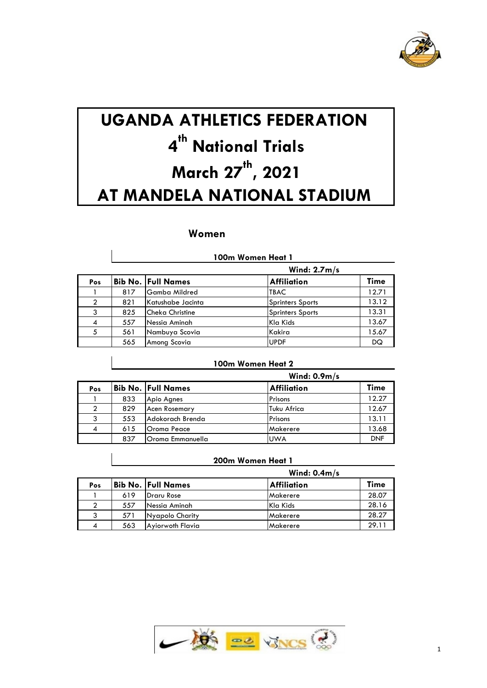

# **UGANDA ATHLETICS FEDERATION 4 th National Trials March 27 th , 2021 AT MANDELA NATIONAL STADIUM**

# **Women**

|     | Wind: $2.7m/s$ |                      |                         |       |
|-----|----------------|----------------------|-------------------------|-------|
| Pos |                | Bib No.  Full Names  | <b>Affiliation</b>      | Time  |
|     | 817            | <b>Gamba Mildred</b> | <b>TBAC</b>             | 12.71 |
|     | 821            | Katushabe Jacinta    | <b>Sprinters Sports</b> | 13.12 |
| 3   | 825            | Cheka Christine      | <b>Sprinters Sports</b> | 13.31 |
| 4   | 557            | Nessia Aminah        | Kla Kids                | 13.67 |
| 5   | 561            | Nambuya Scovia       | Kakira                  | 15.67 |
|     | 565            | Among Scovia         | <b>UPDF</b>             | DQ    |

#### **100m Women Heat 1**

#### **100m Women Heat 2**

|     |     | Wind: $0.9m/s$            |                    |            |  |  |
|-----|-----|---------------------------|--------------------|------------|--|--|
| Pos |     | <b>Bib No. Full Names</b> | <b>Affiliation</b> | Time       |  |  |
|     | 833 | Apio Agnes                | Prisons            | 12.27      |  |  |
|     | 829 | <b>Acen Rosemary</b>      | Tuku Africa        | 12.67      |  |  |
|     | 553 | <b>Adokorach Brenda</b>   | Prisons            | 13.11      |  |  |
| 4   | 615 | lOroma Peace              | Makerere           | 13.68      |  |  |
|     | 837 | lOroma Emmanuella         | <b>UWA</b>         | <b>DNF</b> |  |  |

#### **200m Women Heat 1**

|     |     |                           | Wind: $0.4m/s$ |       |
|-----|-----|---------------------------|----------------|-------|
| Pos |     | <b>Bib No. Full Names</b> | Affiliation    | Time  |
|     | 619 | <b>Draru Rose</b>         | Makerere       | 28.07 |
|     | 557 | INessia Aminah            | Kla Kids       | 28.16 |
|     | 571 | Nyapolo Charity           | Makerere       | 28.27 |
|     | 563 | Ayiorwoth Flavia          | Makerere       | 29.11 |

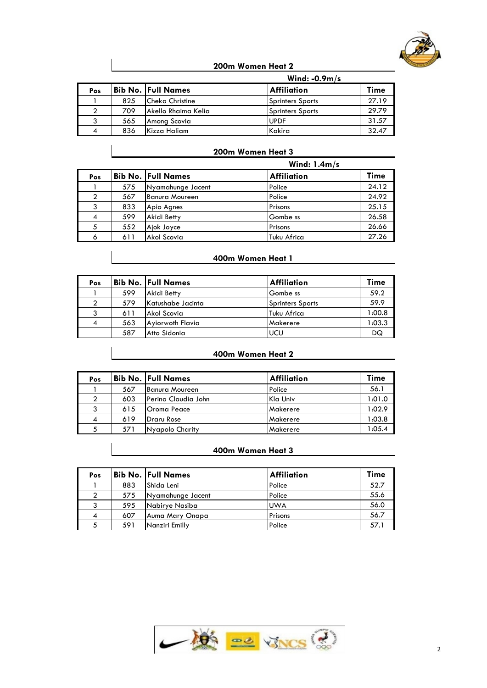

# **200m Women Heat 2**

|     |     | Wind: $-0.9m/s$        |                    |       |  |
|-----|-----|------------------------|--------------------|-------|--|
| Pos |     | Bib No.  Full Names    | <b>Affiliation</b> | Time  |  |
|     | 825 | <b>Cheka Christine</b> | Sprinters Sports   | 27.19 |  |
|     | 709 | lAkello Rhaima Kelia   | Sprinters Sports   | 29.79 |  |
|     | 565 | Among Scovia           | <b>UPDF</b>        | 31.57 |  |
| 4   | 836 | Kizza Haliam           | Kakira             | 32.47 |  |

#### **200m Women Heat 3**

|                |     | Wind: $1.4m/s$            |                    |       |  |
|----------------|-----|---------------------------|--------------------|-------|--|
| Pos            |     | <b>Bib No. Full Names</b> | <b>Affiliation</b> | Time  |  |
|                | 575 | Nyamahunge Jacent         | Police             | 24.12 |  |
|                | 567 | Banura Moureen            | Police             | 24.92 |  |
| 3              | 833 | Apio Agnes                | Prisons            | 25.15 |  |
| $\overline{4}$ | 599 | Akidi Betty               | Gombe ss           | 26.58 |  |
| 5              | 552 | Ajok Joyce                | Prisons            | 26.66 |  |
| 6              | 611 | lAkol Scovia              | Tuku Africa        | 27.26 |  |

#### **400m Women Heat 1**

| Pos |     | <b>Bib No. Full Names</b> | <b>Affiliation</b> | Time   |
|-----|-----|---------------------------|--------------------|--------|
|     | 599 | Akidi Betty               | Gombe ss           | 59.2   |
|     | 579 | Katushabe Jacinta         | Sprinters Sports   | 59.9   |
|     | 611 | Akol Scovia               | Tuku Africa        | 0.001  |
| -4  | 563 | Ayiorwoth Flavia          | Makerere           | 1:03.3 |
|     | 587 | Atto Sidonia              | UCU                | DQ     |

## **400m Women Heat 2**

| Pos |     | Bib No. Full Names   | <b>Affiliation</b> | Time   |
|-----|-----|----------------------|--------------------|--------|
|     | 567 | Banura Moureen       | Police             | 56.1   |
|     | 603 | lPerina Claudia John | Kla Univ           | 1:01.0 |
|     | 615 | <b>Oroma Peace</b>   | Makerere           | 1:02.9 |
|     | 619 | Draru Rose           | Makerere           | 1:03.8 |
|     | 571 | Nyapolo Charity      | Makerere           | 1:05.4 |

#### **400m Women Heat 3**

| Pos |     | <b>Bib No. Full Names</b> | <b>Affiliation</b> | Time |
|-----|-----|---------------------------|--------------------|------|
|     | 883 | Shida Leni                | Police             | 52.7 |
|     | 575 | Nyamahunge Jacent         | Police             | 55.6 |
|     | 595 | Nabirye Nasiba            | <b>UWA</b>         | 56.0 |
| 4   | 607 | Auma Mary Onapa           | Prisons            | 56.7 |
|     | 591 | Nanziri Emilly            | Police             | 57.1 |

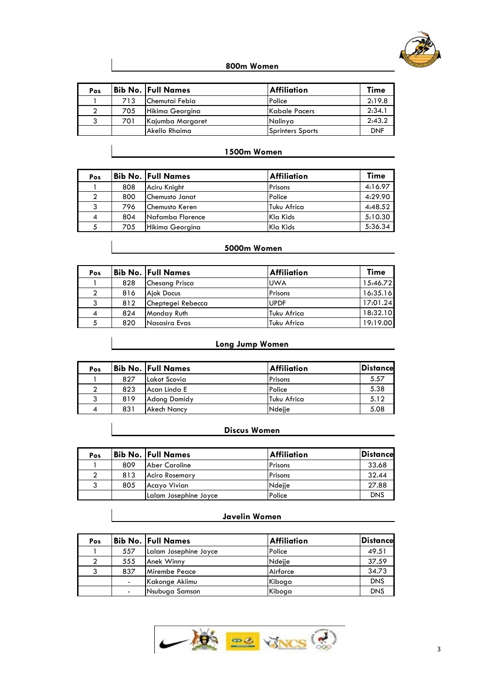

#### **800m Women**

| Pos |     | Bib No.  Full Names | <b>Affiliation</b> | Time       |
|-----|-----|---------------------|--------------------|------------|
|     | 713 | Chemutai Febia      | Police             | 2:19.8     |
|     | 705 | Hikima Georgina     | Kabale Pacers      | 2:34.1     |
|     | 701 | Kajumba Margaret    | Nalinya            | 2:43.2     |
|     |     | lAkello Rhaima      | Sprinters Sports   | <b>DNF</b> |

# **1500m Women**

| Pos |     | Bib No.  Full Names   | <b>Affiliation</b> | Time    |
|-----|-----|-----------------------|--------------------|---------|
|     | 808 | Aciru Knight          | Prisons            | 4:16.97 |
|     | 800 | Chemusto Janat        | Police             | 4:29.90 |
|     | 796 | <b>Chemusto Keren</b> | Tuku Africa        | 4:48.52 |
|     | 804 | Nafamba Florence      | Kla Kids           | 5:10.30 |
|     | 705 | Hikima Georgina       | Kla Kids           | 5:36.34 |

# **5000m Women**

| Pos |     | <b>Bib No. Full Names</b> | <b>Affiliation</b> | Time     |
|-----|-----|---------------------------|--------------------|----------|
|     | 828 | Chesang Prisca            | <b>UWA</b>         | 15:46.72 |
|     | 816 | Aiok Docus                | Prisons            | 16:35.16 |
|     | 812 | Cheptegei Rebecca         | <b>UPDF</b>        | 17:01.24 |
| 4   | 824 | Monday Ruth               | Tuku Africa        | 18:32.10 |
|     | 820 | Nasasira Evas             | Tuku Africa        | 19:19.00 |

# **Long Jump Women**

| Pos |     | <b>Bib No. Full Names</b> | <b>Affiliation</b> | <b>Distancel</b> |
|-----|-----|---------------------------|--------------------|------------------|
|     | 827 | lLakot Scovia             | Prisons            | 5.57             |
|     | 823 | Acan Linda E              | Police             | 5.38             |
|     | 819 | <b>Adong Domidy</b>       | Tuku Africa        | 5.12             |
|     | 831 | <b>Akech Nancy</b>        | Ndeije             | 5.08             |

#### **Discus Women**

| Pos |     | <b>Bib No. Full Names</b> | <b>Affiliation</b> | Distance   |
|-----|-----|---------------------------|--------------------|------------|
|     | 809 | Aber Caroline             | Prisons            | 33.68      |
|     | 813 | <b>Aciro Rosemary</b>     | Prisons            | 32.44      |
|     | 805 | Acayo Vivian              | Ndejje             | 27.88      |
|     |     | Lalam Josephine Joyce     | Police             | <b>DNS</b> |

#### **Javelin Women**

| Pos |     | Bib No.  Full Names   | <b>Affiliation</b> | Distance   |
|-----|-----|-----------------------|--------------------|------------|
|     | 557 | Lalam Josephine Joyce | Police             | 49.51      |
|     | 555 | Anek Winny            | Ndejje             | 37.59      |
|     | 837 | Mirembe Peace         | Airforce           | 34.73      |
|     |     | Kakonge Akiimu        | Kiboga             | <b>DNS</b> |
|     |     | Nsubuga Samson        | Kiboga             | <b>DNS</b> |

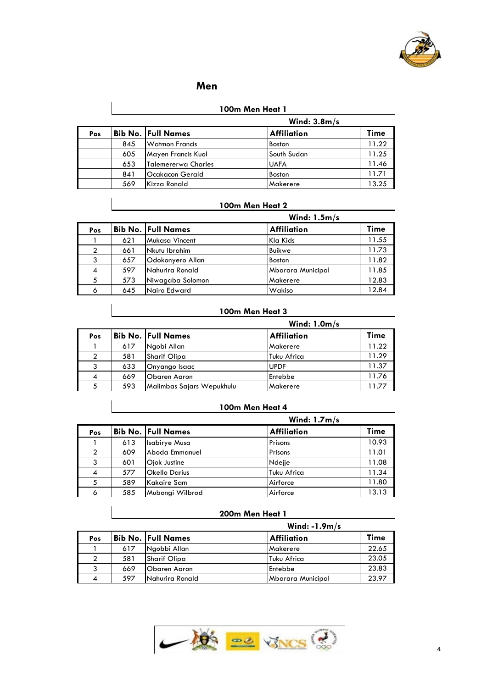

#### **Men**

#### **100m Men Heat 1**

|     |     |                     | Wind: $3.8m/s$     |       |
|-----|-----|---------------------|--------------------|-------|
| Pos |     | Bib No.  Full Names | <b>Affiliation</b> | Time  |
|     | 845 | Watmon Francis      | <b>Boston</b>      | 11.22 |
|     | 605 | Mayen Francis Kuol  | South Sudan        | 11.25 |
|     | 653 | Talemererwa Charles | <b>UAFA</b>        | 11.46 |
|     | 841 | lOcakacon Gerald    | <b>Boston</b>      | 11.71 |
|     | 569 | Kizza Ronald        | Makerere           | 13.25 |

#### **100m Men Heat 2**

|     |     |                           | Wind: $1.5m/s$     |       |
|-----|-----|---------------------------|--------------------|-------|
| Pos |     | <b>Bib No. Full Names</b> | <b>Affiliation</b> | Time  |
|     | 621 | Mukasa Vincent            | Kla Kids           | 11.55 |
|     | 661 | Nkutu Ibrahim             | <b>Buikwe</b>      | 11.73 |
| 3   | 657 | Odokonyero Allan          | <b>Boston</b>      | 11.82 |
| 4   | 597 | Nahurira Ronald           | Mbarara Municipal  | 11.85 |
|     | 573 | Niwagaba Solomon          | Makerere           | 12.83 |
| 6   | 645 | Nairo Edward              | Wakiso             | 12.84 |

#### **100m Men Heat 3**

|     |     |                           | Wind: $1.0m/s$     |       |
|-----|-----|---------------------------|--------------------|-------|
| Pos |     | <b>Bib No. Full Names</b> | <b>Affiliation</b> | Time  |
|     | 617 | Ngobi Allan               | <b>IMakerere</b>   | 11.22 |
|     | 581 | <b>Sharif Olipa</b>       | Tuku Africa        | 11.29 |
|     | 633 | Onyango Isaac             | <b>UPDF</b>        | 11.37 |
|     | 669 | <b>Obaren Aaron</b>       | Entebbe            | 11.76 |
|     | 593 | Malimbas Sajars Wepukhulu | Makerere           | 11.77 |

#### **100m Men Heat 4**

|     |     |                           | Wind: $1.7m/s$     |       |
|-----|-----|---------------------------|--------------------|-------|
| Pos |     | <b>Bib No. Full Names</b> | <b>Affiliation</b> | Time  |
|     | 613 | <b>Isabirye Musa</b>      | Prisons            | 10.93 |
|     | 609 | Aboda Emmanuel            | Prisons            | 11.01 |
| 3   | 601 | Ojok Justine              | Ndejje             | 11.08 |
| 4   | 577 | <b>Okello Darius</b>      | Tuku Africa        | 11.34 |
|     | 589 | Kakaire Sam               | Airforce           | 11.80 |
| 6   | 585 | Mubongi Wilbrod           | Airforce           | 13.13 |

# **200m Men Heat 1**

|     |     |                           | Wind: $-1.9m/s$    |       |
|-----|-----|---------------------------|--------------------|-------|
| Pos |     | <b>Bib No. Full Names</b> | <b>Affiliation</b> | Time  |
|     | 617 | Ngobbi Allan              | Makerere           | 22.65 |
|     | 581 | <b>Sharif Olipa</b>       | Tuku Africa        | 23.05 |
|     | 669 | <b>Obaren Aaron</b>       | Entebbe            | 23.83 |
|     | 597 | Nahurira Ronald           | Mbarara Municipal  | 23.97 |

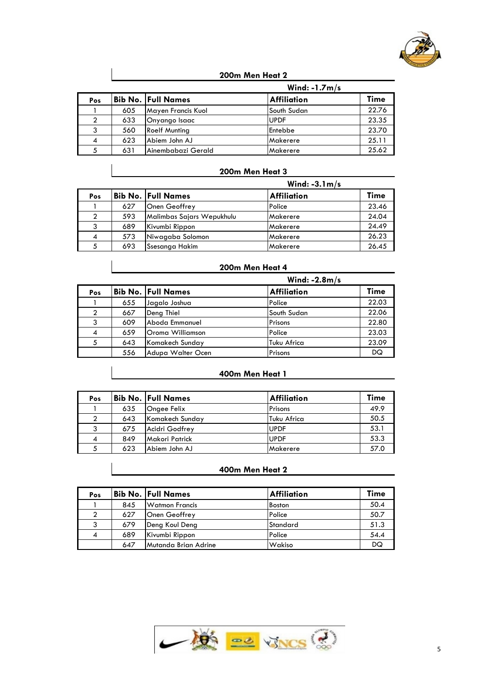

#### **200m Men Heat 2**

|     |     |                           | Wind: $-1.7m/s$    |       |
|-----|-----|---------------------------|--------------------|-------|
| Pos |     | <b>Bib No. Full Names</b> | <b>Affiliation</b> | Time  |
|     | 605 | Mayen Francis Kuol        | lSouth Sudan       | 22.76 |
|     | 633 | Onyango Isaac             | <b>UPDF</b>        | 23.35 |
|     | 560 | <b>Roelf Munting</b>      | Entebbe            | 23.70 |
| 4   | 623 | Abiem John AJ             | Makerere           | 25.11 |
|     | 631 | lAinembabazi Gerald       | Makerere           | 25.62 |

#### **200m Men Heat 3**

|     |     |                           | Wind: $-3.1 \text{ m/s}$ |             |
|-----|-----|---------------------------|--------------------------|-------------|
| Pos |     | <b>Bib No. Full Names</b> | <b>Affiliation</b>       | <b>Time</b> |
|     | 627 | Onen Geoffrey             | Police                   | 23.46       |
|     | 593 | Malimbas Sajars Wepukhulu | Makerere                 | 24.04       |
|     | 689 | Kivumbi Rippon            | Makerere                 | 24.49       |
|     | 573 | Niwagaba Solomon          | Makerere                 | 26.23       |
|     | 693 | Ssesanga Hakim            | Makerere                 | 26.45       |

#### **200m Men Heat 4**

|     |     |                           | Wind: $-2.8m/s$    |       |
|-----|-----|---------------------------|--------------------|-------|
| Pos |     | <b>Bib No. Full Names</b> | <b>Affiliation</b> | Time  |
|     | 655 | Jagalo Joshua             | Police             | 22.03 |
|     | 667 | Deng Thiel                | South Sudan        | 22.06 |
| 3   | 609 | Aboda Emmanuel            | Prisons            | 22.80 |
| 4   | 659 | Oroma Williamson          | Police             | 23.03 |
| 5   | 643 | Komakech Sunday           | Tuku Africa        | 23.09 |
|     | 556 | Adupa Walter Ocen         | Prisons            | DQ    |

#### **400m Men Heat 1**

| Pos |     | <b>Bib No. Full Names</b> | <b>Affiliation</b> | <b>Time</b> |
|-----|-----|---------------------------|--------------------|-------------|
|     | 635 | Ongee Felix               | Prisons            | 49.9        |
|     | 643 | Komakech Sunday           | Tuku Africa        | 50.5        |
|     | 675 | Acidri Godfrey            | <b>UPDF</b>        | 53.1        |
| 4   | 849 | <b>Makori Patrick</b>     | <b>UPDF</b>        | 53.3        |
|     | 623 | Abiem John AJ             | Makerere           | 57.0        |

#### **400m Men Heat 2**

| Pos |     | <b>Bib No. Full Names</b> | <b>Affiliation</b> | Time |
|-----|-----|---------------------------|--------------------|------|
|     | 845 | Watmon Francis            | Boston             | 50.4 |
|     | 627 | <b>Onen Geoffrey</b>      | Police             | 50.7 |
|     | 679 | Deng Koul Deng            | Standard           | 51.3 |
| -4  | 689 | Kivumbi Rippon            | Police             | 54.4 |
|     | 647 | Mutanda Brian Adrine      | Wakiso             | DQ   |

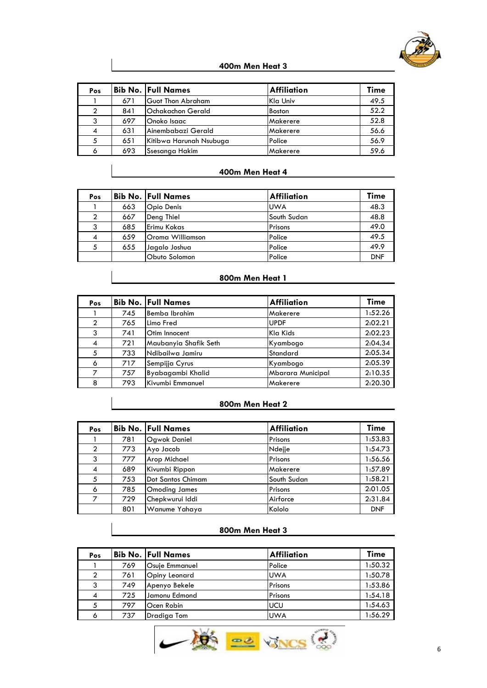

#### **400m Men Heat 3**

| Pos |     | Bib No.  Full Names      | <b>Affiliation</b> | Time |
|-----|-----|--------------------------|--------------------|------|
|     | 671 | lGuot Thon Abraham       | Kla Univ           | 49.5 |
|     | 841 | <b>Ochakachon Gerald</b> | <b>Boston</b>      | 52.2 |
|     | 697 | <b>Onoko Isaac</b>       | <b>Makerere</b>    | 52.8 |
|     | 631 | lAinembabazi Gerald      | Makerere           | 56.6 |
|     | 651 | Kitibwa Harunah Nsubuga  | Police             | 56.9 |
|     | 693 | <b>Ssesanga Hakim</b>    | Makerere           | 59.6 |

#### **400m Men Heat 4**

| Pos |     | <b>Bib No. Full Names</b> | <b>Affiliation</b> | Time       |
|-----|-----|---------------------------|--------------------|------------|
|     | 663 | Opio Denis                | <b>UWA</b>         | 48.3       |
|     | 667 | Deng Thiel                | South Sudan        | 48.8       |
|     | 685 | <b>IErimu Kokas</b>       | Prisons            | 49.0       |
| 4   | 659 | Oroma Williamson          | Police             | 49.5       |
|     | 655 | Jagalo Joshua             | Police             | 49.9       |
|     |     | Obuto Solomon             | Police             | <b>DNF</b> |

#### **800m Men Heat 1**

| Pos            |     | <b>Bib No. Full Names</b> | <b>Affiliation</b> | Time    |
|----------------|-----|---------------------------|--------------------|---------|
|                | 745 | Bemba Ibrahim             | Makerere           | 1:52.26 |
| $\mathcal{P}$  | 765 | Limo Fred                 | <b>UPDF</b>        | 2:02.21 |
| 3              | 741 | <b>Otim Innocent</b>      | Kla Kids           | 2:02.23 |
| $\overline{4}$ | 721 | Maubanyia Shafik Seth     | Kyambogo           | 2:04.34 |
| 5              | 733 | Ndibailwa Jamiru          | Standard           | 2:05.34 |
| 6              | 717 | Sempijja Cyrus            | Kyambogo           | 2:05.39 |
|                | 757 | Byabagambi Khalid         | Mbarara Municipal  | 2:10.35 |
| 8              | 793 | Kivumbi Emmanuel          | Makerere           | 2:20.30 |

#### **800m Men Heat 2**

| Pos           |     | <b>Bib No. Full Names</b> | <b>Affiliation</b> | Time       |
|---------------|-----|---------------------------|--------------------|------------|
|               | 781 | Ogwok Daniel              | Prisons            | 1:53.83    |
| $\mathcal{P}$ | 773 | Ayo Jacob                 | Ndejje             | 1:54.73    |
| 3             | 777 | Arop Michael              | Prisons            | 1:56.56    |
| 4             | 689 | Kivumbi Rippon            | Makerere           | 1:57.89    |
| 5             | 753 | lDot Santos Chimam        | South Sudan        | 1:58.21    |
| 6             | 785 | <b>Omoding James</b>      | Prisons            | 2:01.05    |
|               | 729 | Chepkwurui Iddi           | Airforce           | 2:31.84    |
|               | 801 | Wanume Yahaya             | Kololo             | <b>DNF</b> |

#### **800m Men Heat 3**

| Pos |     | <b>Bib No. Full Names</b> | <b>Affiliation</b> | Time    |
|-----|-----|---------------------------|--------------------|---------|
|     | 769 | <b>Osuie Emmanuel</b>     | Police             | 1:50.32 |
|     | 761 | Opiny Leonard             | <b>UWA</b>         | 1:50.78 |
|     | 749 | Apenyo Bekele             | Prisons            | 1:53.86 |
| 4   | 725 | Jamonu Edmond             | Prisons            | 1:54.18 |
|     | 797 | Ocen Robin                | <b>UCU</b>         | 1:54.63 |
| 6   | 737 | Dradiga Tom               | <b>UWA</b>         | 1:56.29 |

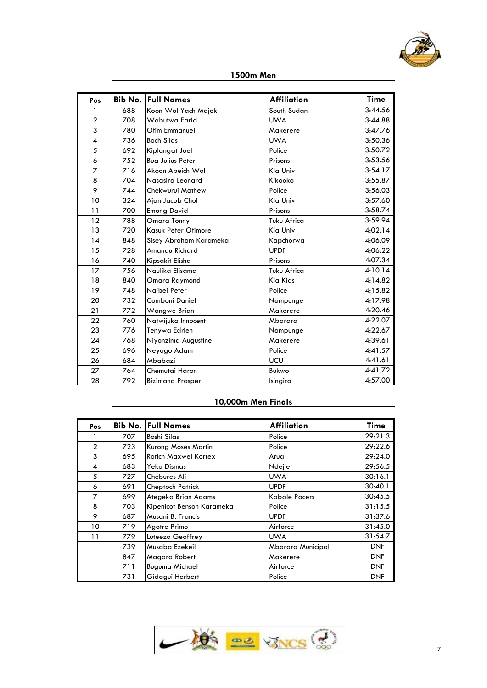

| Pos            |     | <b>Bib No. Full Names</b> | <b>Affiliation</b> | Time    |
|----------------|-----|---------------------------|--------------------|---------|
| $\mathbf{1}$   | 688 | Koon Wol Yach Majok       | South Sudan        | 3:44.56 |
| $\overline{2}$ | 708 | Wabutwa Farid             | <b>UWA</b>         | 3:44.88 |
| 3              | 780 | Otim Emmanuel             | Makerere           | 3:47.76 |
| 4              | 736 | <b>Boch Silas</b>         | <b>UWA</b>         | 3:50.36 |
| 5              | 692 | Kiplangat Joel            | Police             | 3:50.72 |
| 6              | 752 | <b>Bua Julius Peter</b>   | Prisons            | 3:53.56 |
| $\overline{z}$ | 716 | Akoon Abeich Wol          | Kla Univ           | 3:54.17 |
| 8              | 704 | Nasasira Leonard          | Kikooko            | 3:55.87 |
| 9              | 744 | Chekwurui Mathew          | Police             | 3:56.03 |
| 10             | 324 | Ajan Jacob Chol           | Kla Univ           | 3:57.60 |
| 11             | 700 | <b>Emong David</b>        | Prisons            | 3:58.74 |
| 12             | 788 | Omara Tonny               | <b>Tuku Africa</b> | 3:59.94 |
| 13             | 720 | Kasuk Peter Otimore       | Kla Univ           | 4:02.14 |
| 14             | 848 | Sisey Abraham Karameka    | Kapchorwa          | 4:06.09 |
| 15             | 728 | Amandu Richard            | <b>UPDF</b>        | 4:06.22 |
| 16             | 740 | Kipsakit Elisha           | Prisons            | 4:07.34 |
| 17             | 756 | Naulika Elisama           | Tuku Africa        | 4:10.14 |
| 18             | 840 | Omara Raymond             | Kla Kids           | 4:14.82 |
| 19             | 748 | Naibei Peter              | Police             | 4:15.82 |
| 20             | 732 | Comboni Daniel            | Nampunge           | 4:17.98 |
| 21             | 772 | <b>Wangwe Brian</b>       | Makerere           | 4:20.46 |
| 22             | 760 | Natwijuka Innocent        | Mbarara            | 4:22.07 |
| 23             | 776 | Tenywa Edrien             | Nampunge           | 4:22.67 |
| 24             | 768 | Niyonzima Augustine       | Makerere           | 4:39.61 |
| 25             | 696 | Neyogo Adam               | Police             | 4:41.57 |
| 26             | 684 | Mbabazi                   | UCU                | 4:41.61 |
| 27             | 764 | Chemutai Haron            | Bukwo              | 4:41.72 |
| 28             | 792 | <b>Bizimana Prosper</b>   | Isingiro           | 4:57.00 |

**1500m Men**

# **10,000m Men Finals**

| Pos            |     | <b>Bib No. Full Names</b>   | <b>Affiliation</b>       | Time       |
|----------------|-----|-----------------------------|--------------------------|------------|
|                | 707 | Boshi Silas                 | Police                   | 29:21.3    |
| $\overline{2}$ | 723 | <b>Kurong Moses Martin</b>  | Police                   | 29:22.6    |
| 3              | 695 | <b>Rotich Maxwel Kortex</b> | Arua                     | 29:24.0    |
| 4              | 683 | Yeko Dismas                 | Ndejje                   | 29:56.5    |
| 5              | 727 | Chebures Ali                | <b>UWA</b>               | 30:16.1    |
| 6              | 691 | <b>Cheptoch Patrick</b>     | <b>UPDF</b>              | 30:40.1    |
| 7              | 699 | Ategeka Brian Adams         | Kabale Pacers            | 30:45.5    |
| 8              | 703 | Kipenicot Benson Karameka   | Police                   | 31:15.5    |
| 9              | 687 | Musani B. Francis           | <b>UPDF</b>              | 31:37.6    |
| 10             | 719 | Agotre Primo                | Airforce                 | 31:45.0    |
| 11             | 779 | Luteezo Geoffrey            | <b>UWA</b>               | 31:54.7    |
|                | 739 | Musaba Ezekeil              | <b>Mbarara Municipal</b> | <b>DNF</b> |
|                | 847 | Magara Robert               | Makerere                 | <b>DNF</b> |
|                | 711 | <b>Buguma Michael</b>       | Airforce                 | <b>DNF</b> |
|                | 731 | Gidagui Herbert             | Police                   | <b>DNF</b> |